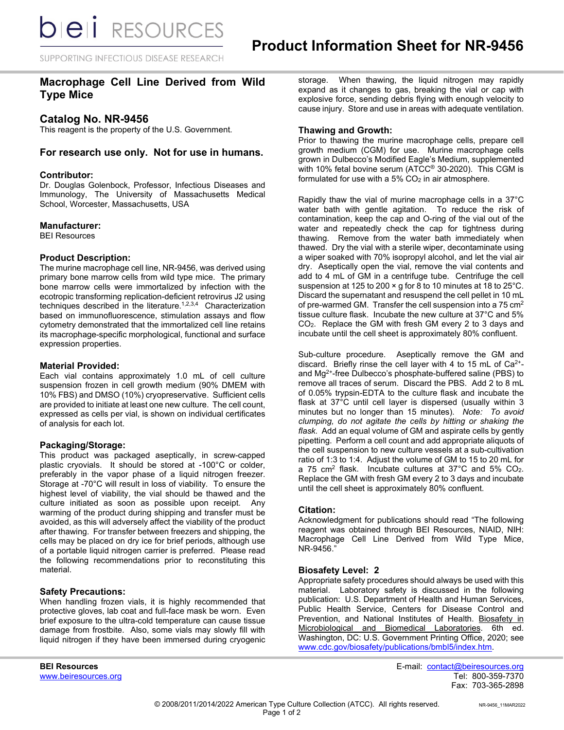SUPPORTING INFECTIOUS DISEASE RESEARCH

# **Macrophage Cell Line Derived from Wild Type Mice**

## **Catalog No. NR-9456**

This reagent is the property of the U.S. Government.

### **For research use only. Not for use in humans.**

### **Contributor:**

Dr. Douglas Golenbock, Professor, Infectious Diseases and Immunology, The University of Massachusetts Medical School, Worcester, Massachusetts, USA

#### **Manufacturer:**

BEI Resources

### **Product Description:**

The murine macrophage cell line, NR-9456, was derived using primary bone marrow cells from wild type mice. The primary bone marrow cells were immortalized by infection with the ecotropic transforming replication-deficient retrovirus J2 using techniques described in the literature.<sup>1,2,3,4</sup> Characterization based on immunofluorescence, stimulation assays and flow cytometry demonstrated that the immortalized cell line retains its macrophage-specific morphological, functional and surface expression properties.

#### **Material Provided:**

Each vial contains approximately 1.0 mL of cell culture suspension frozen in cell growth medium (90% DMEM with 10% FBS) and DMSO (10%) cryopreservative. Sufficient cells are provided to initiate at least one new culture. The cell count, expressed as cells per vial, is shown on individual certificates of analysis for each lot.

### **Packaging/Storage:**

This product was packaged aseptically, in screw-capped plastic cryovials. It should be stored at -100°C or colder, preferably in the vapor phase of a liquid nitrogen freezer. Storage at -70°C will result in loss of viability. To ensure the highest level of viability, the vial should be thawed and the culture initiated as soon as possible upon receipt. Any warming of the product during shipping and transfer must be avoided, as this will adversely affect the viability of the product after thawing. For transfer between freezers and shipping, the cells may be placed on dry ice for brief periods, although use of a portable liquid nitrogen carrier is preferred. Please read the following recommendations prior to reconstituting this material.

### **Safety Precautions:**

When handling frozen vials, it is highly recommended that protective gloves, lab coat and full-face mask be worn. Even brief exposure to the ultra-cold temperature can cause tissue damage from frostbite. Also, some vials may slowly fill with liquid nitrogen if they have been immersed during cryogenic

storage. When thawing, the liquid nitrogen may rapidly expand as it changes to gas, breaking the vial or cap with explosive force, sending debris flying with enough velocity to cause injury. Store and use in areas with adequate ventilation.

### **Thawing and Growth:**

Prior to thawing the murine macrophage cells, prepare cell growth medium (CGM) for use. Murine macrophage cells grown in Dulbecco's Modified Eagle's Medium, supplemented with 10% fetal bovine serum (ATCC® 30-2020). This CGM is formulated for use with a  $5\%$  CO<sub>2</sub> in air atmosphere.

Rapidly thaw the vial of murine macrophage cells in a 37°C water bath with gentle agitation. To reduce the risk of contamination, keep the cap and O-ring of the vial out of the water and repeatedly check the cap for tightness during thawing. Remove from the water bath immediately when thawed. Dry the vial with a sterile wiper, decontaminate using a wiper soaked with 70% isopropyl alcohol, and let the vial air dry. Aseptically open the vial, remove the vial contents and add to 4 mL of GM in a centrifuge tube. Centrifuge the cell suspension at 125 to 200 × g for 8 to 10 minutes at 18 to 25°C. Discard the supernatant and resuspend the cell pellet in 10 mL of pre-warmed GM. Transfer the cell suspension into a 75  $cm<sup>2</sup>$ tissue culture flask. Incubate the new culture at 37°C and 5% CO2. Replace the GM with fresh GM every 2 to 3 days and incubate until the cell sheet is approximately 80% confluent.

Sub-culture procedure. Aseptically remove the GM and discard. Briefly rinse the cell layer with 4 to 15 mL of  $Ca<sup>2+</sup>$ and Mg2+-free Dulbecco's phosphate-buffered saline (PBS) to remove all traces of serum. Discard the PBS. Add 2 to 8 mL of 0.05% trypsin-EDTA to the culture flask and incubate the flask at 37°C until cell layer is dispersed (usually within 3 minutes but no longer than 15 minutes). *Note: To avoid clumping, do not agitate the cells by hitting or shaking the flask.* Add an equal volume of GM and aspirate cells by gently pipetting. Perform a cell count and add appropriate aliquots of the cell suspension to new culture vessels at a sub-cultivation ratio of 1:3 to 1:4. Adjust the volume of GM to 15 to 20 mL for a 75 cm<sup>2</sup> flask. Incubate cultures at  $37^{\circ}$ C and  $5\%$  CO<sub>2</sub>. Replace the GM with fresh GM every 2 to 3 days and incubate until the cell sheet is approximately 80% confluent.

### **Citation:**

Acknowledgment for publications should read "The following reagent was obtained through BEI Resources, NIAID, NIH: Macrophage Cell Line Derived from Wild Type Mice, NR-9456."

#### **Biosafety Level: 2**

Appropriate safety procedures should always be used with this material. Laboratory safety is discussed in the following publication: U.S. Department of Health and Human Services, Public Health Service, Centers for Disease Control and Prevention, and National Institutes of Health. Biosafety in Microbiological and Biomedical Laboratories. 6th ed. Washington, DC: U.S. Government Printing Office, 2020; see [www.cdc.gov/biosafety/publications/bmbl5/index.htm.](http://www.cdc.gov/biosafety/publications/bmbl5/index.htm)

www.beiresources.org

**BEI Resources** E-mail: contact@beiresources.org Fax: 703-365-2898